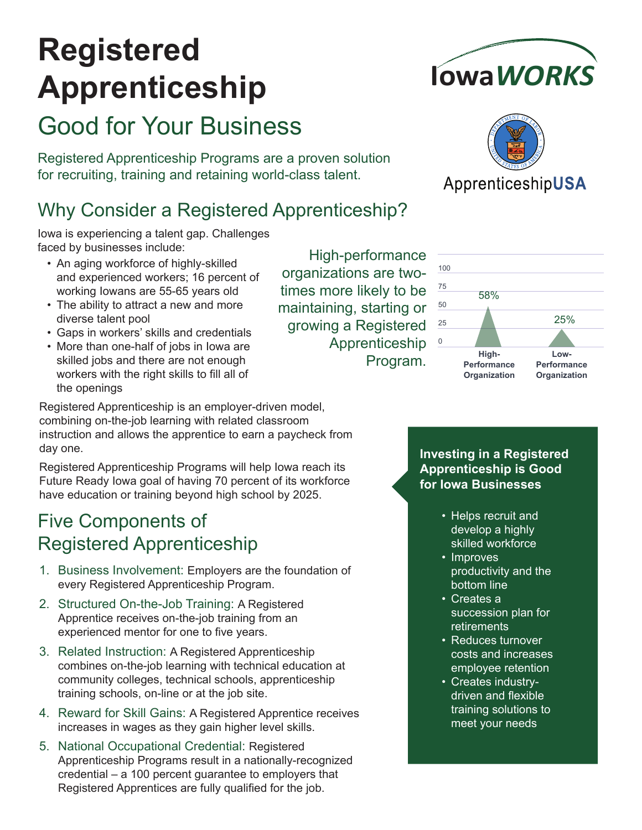# **Registered Apprenticeship**

# Good for Your Business

Registered Apprenticeship Programs are a proven solution for recruiting, training and retaining world-class talent.

# Why Consider a Registered Apprenticeship?

Iowa is experiencing a talent gap. Challenges faced by businesses include:

- An aging workforce of highly-skilled and experienced workers; 16 percent of working Iowans are 55-65 years old
- The ability to attract a new and more diverse talent pool
- Gaps in workers' skills and credentials
- More than one-half of jobs in Iowa are skilled jobs and there are not enough workers with the right skills to fill all of the openings

Registered Apprenticeship is an employer-driven model, combining on-the-job learning with related classroom instruction and allows the apprentice to earn a paycheck from day one.

Registered Apprenticeship Programs will help Iowa reach its Future Ready Iowa goal of having 70 percent of its workforce have education or training beyond high school by 2025.

# Five Components of Registered Apprenticeship

- 1. Business Involvement: Employers are the foundation of every Registered Apprenticeship Program.
- 2. Structured On-the-Job Training: A Registered Apprentice receives on-the-job training from an experienced mentor for one to five years.
- 3. Related Instruction: A Registered Apprenticeship combines on-the-job learning with technical education at community colleges, technical schools, apprenticeship training schools, on-line or at the job site.
- 4. Reward for Skill Gains: A Registered Apprentice receives increases in wages as they gain higher level skills.
- 5. National Occupational Credential: Registered Apprenticeship Programs result in a nationally-recognized credential – a 100 percent guarantee to employers that Registered Apprentices are fully qualified for the job.

High-performance organizations are twotimes more likely to be maintaining, starting or growing a Registered Apprenticeship Program.





#### ApprenticeshipUSA



**Investing in a Registered Apprenticeship is Good for Iowa Businesses**

- Helps recruit and develop a highly skilled workforce
- Improves productivity and the bottom line
- Creates a succession plan for retirements
- Reduces turnover costs and increases employee retention
- Creates industrydriven and flexible training solutions to meet your needs